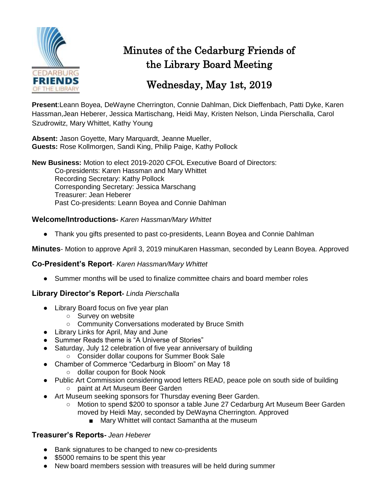

# Minutes of the Cedarburg Friends of the Library Board Meeting

# Wednesday, May 1st, 2019

**Present**:Leann Boyea, DeWayne Cherrington, Connie Dahlman, Dick Dieffenbach, Patti Dyke, Karen Hassman,Jean Heberer, Jessica Martischang, Heidi May, Kristen Nelson, Linda Pierschalla, Carol Szudrowitz, Mary Whittet, Kathy Young

**Absent:** Jason Goyette, Mary Marquardt, Jeanne Mueller, **Guests:** Rose Kollmorgen, Sandi King, Philip Paige, Kathy Pollock

**New Business:** Motion to elect 2019-2020 CFOL Executive Board of Directors: Co-presidents: Karen Hassman and Mary Whittet Recording Secretary: Kathy Pollock Corresponding Secretary: Jessica Marschang Treasurer: Jean Heberer Past Co-presidents: Leann Boyea and Connie Dahlman

# **Welcome/Introductions-** *Karen Hassman/Mary Whittet*

● Thank you gifts presented to past co-presidents, Leann Boyea and Connie Dahlman

**Minutes**- Motion to approve April 3, 2019 minuKaren Hassman, seconded by Leann Boyea. Approved

### **Co-President's Report**- *Karen Hassman/Mary Whittet*

● Summer months will be used to finalize committee chairs and board member roles

### **Library Director's Report-** *Linda Pierschalla*

- Library Board focus on five year plan
	- Survey on website
	- Community Conversations moderated by Bruce Smith
- Library Links for April, May and June
- Summer Reads theme is "A Universe of Stories"
- Saturday, July 12 celebration of five year anniversary of building ○ Consider dollar coupons for Summer Book Sale
- Chamber of Commerce "Cedarburg in Bloom" on May 18
	- dollar coupon for Book Nook
- Public Art Commission considering wood letters READ, peace pole on south side of building ○ paint at Art Museum Beer Garden
- Art Museum seeking sponsors for Thursday evening Beer Garden.
	- Motion to spend \$200 to sponsor a table June 27 Cedarburg Art Museum Beer Garden moved by Heidi May, seconded by DeWayna Cherrington. Approved
		- Mary Whittet will contact Samantha at the museum

### **Treasurer's Reports-** *Jean Heberer*

- Bank signatures to be changed to new co-presidents
- \$5000 remains to be spent this year
- New board members session with treasures will be held during summer